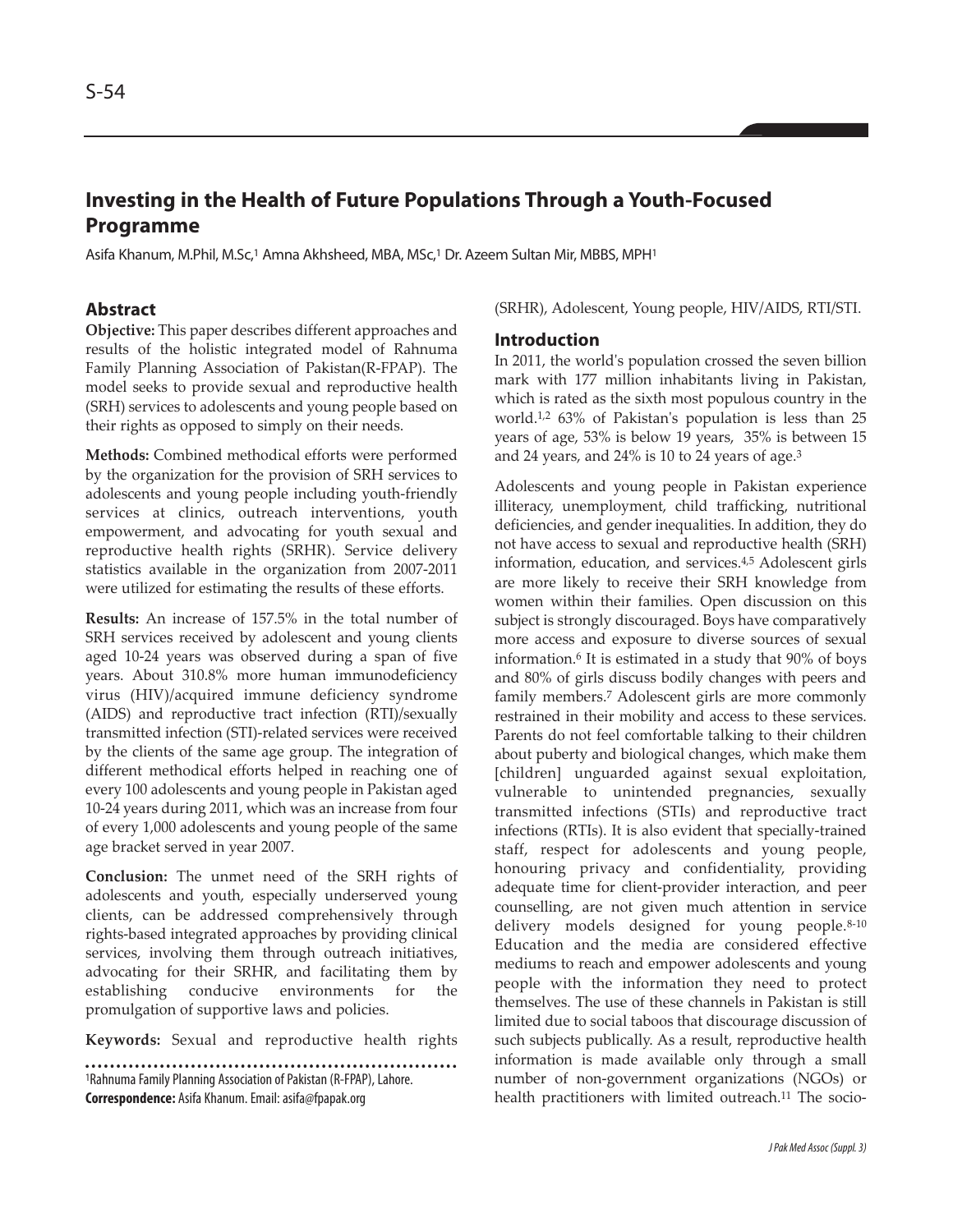# **Investing in the Health of Future Populations Through a Youth-Focused Programme**

Asifa Khanum, M.Phil, M.Sc,<sup>1</sup> Amna Akhsheed, MBA, MSc,<sup>1</sup> Dr. Azeem Sultan Mir, MBBS, MPH<sup>1</sup>

## **Abstract**

**Objective:** This paper describes different approaches and results of the holistic integrated model of Rahnuma Family Planning Association of Pakistan(R-FPAP). The model seeks to provide sexual and reproductive health (SRH) services to adolescents and young people based on their rights as opposed to simply on their needs.

**Methods:** Combined methodical efforts were performed by the organization for the provision of SRH services to adolescents and young people including youth-friendly services at clinics, outreach interventions, youth empowerment, and advocating for youth sexual and reproductive health rights (SRHR). Service delivery statistics available in the organization from 2007-2011 were utilized for estimating the results of these efforts.

**Results:** An increase of 157.5% in the total number of SRH services received by adolescent and young clients aged 10-24 years was observed during a span of five years. About 310.8% more human immunodeficiency virus (HIV)/acquired immune deficiency syndrome (AIDS) and reproductive tract infection (RTI)/sexually transmitted infection (STI)-related services were received by the clients of the same age group. The integration of different methodical efforts helped in reaching one of every 100 adolescents and young people in Pakistan aged 10-24 years during 2011, which was an increase from four of every 1,000 adolescents and young people of the same age bracket served in year 2007.

**Conclusion:** The unmet need of the SRH rights of adolescents and youth, especially underserved young clients, can be addressed comprehensively through rights-based integrated approaches by providing clinical services, involving them through outreach initiatives, advocating for their SRHR, and facilitating them by establishing conducive environments for the promulgation of supportive laws and policies.

**Keywords:** Sexual and reproductive health rights

<sup>1</sup>Rahnuma Family Planning Association of Pakistan (R-FPAP), Lahore. **Correspondence:** Asifa Khanum. Email: asifa@fpapak.org

(SRHR), Adolescent, Young people, HIV/AIDS, RTI/STI.

#### **Introduction**

In 2011, the world's population crossed the seven billion mark with 177 million inhabitants living in Pakistan, which is rated as the sixth most populous country in the world.1,2 63% of Pakistan's population is less than 25 years of age, 53% is below 19 years, 35% is between 15 and 24 years, and 24% is 10 to 24 years of age.<sup>3</sup>

Adolescents and young people in Pakistan experience illiteracy, unemployment, child trafficking, nutritional deficiencies, and gender inequalities. In addition, they do not have access to sexual and reproductive health (SRH) information, education, and services.4,5 Adolescent girls are more likely to receive their SRH knowledge from women within their families. Open discussion on this subject is strongly discouraged. Boys have comparatively more access and exposure to diverse sources of sexual information.<sup>6</sup> It is estimated in a study that 90% of boys and 80% of girls discuss bodily changes with peers and family members.<sup>7</sup> Adolescent girls are more commonly restrained in their mobility and access to these services. Parents do not feel comfortable talking to their children about puberty and biological changes, which make them [children] unguarded against sexual exploitation, vulnerable to unintended pregnancies, sexually transmitted infections (STIs) and reproductive tract infections (RTIs). It is also evident that specially-trained staff, respect for adolescents and young people, honouring privacy and confidentiality, providing adequate time for client-provider interaction, and peer counselling, are not given much attention in service delivery models designed for young people.<sup>8-10</sup> Education and the media are considered effective mediums to reach and empower adolescents and young people with the information they need to protect themselves. The use of these channels in Pakistan is still limited due to social taboos that discourage discussion of such subjects publically. As a result, reproductive health information is made available only through a small number of non-government organizations (NGOs) or health practitioners with limited outreach.<sup>11</sup> The socio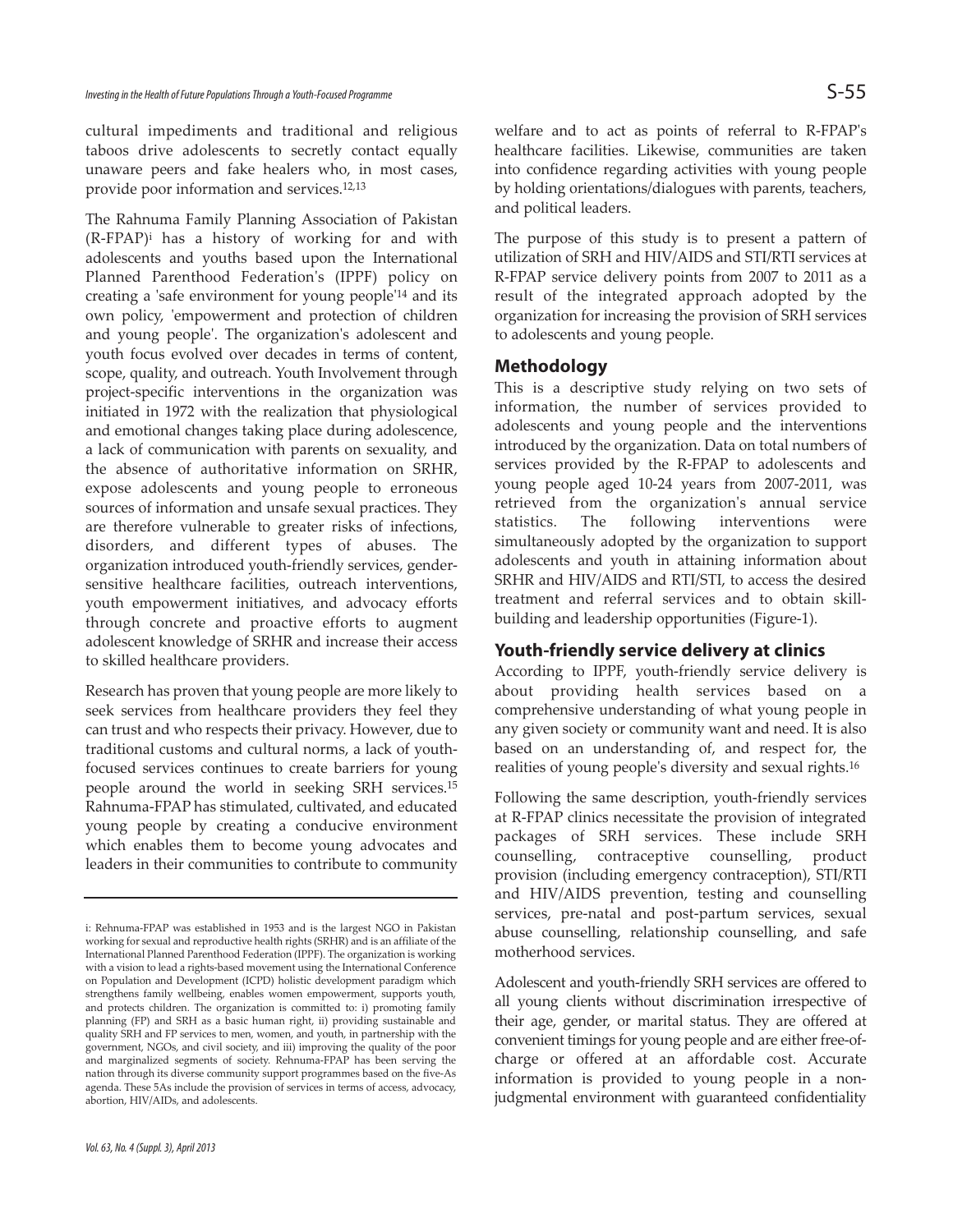cultural impediments and traditional and religious taboos drive adolescents to secretly contact equally unaware peers and fake healers who, in most cases, provide poor information and services.12,13

The Rahnuma Family Planning Association of Pakistan (R-FPAP)<sup>i</sup> has a history of working for and with adolescents and youths based upon the International Planned Parenthood Federation's (IPPF) policy on creating a 'safe environment for young people'<sup>14</sup> and its own policy, 'empowerment and protection of children and young people'. The organization's adolescent and youth focus evolved over decades in terms of content, scope, quality, and outreach. Youth Involvement through project-specific interventions in the organization was initiated in 1972 with the realization that physiological and emotional changes taking place during adolescence, a lack of communication with parents on sexuality, and the absence of authoritative information on SRHR, expose adolescents and young people to erroneous sources of information and unsafe sexual practices. They are therefore vulnerable to greater risks of infections, disorders, and different types of abuses. The organization introduced youth-friendly services, gendersensitive healthcare facilities, outreach interventions, youth empowerment initiatives, and advocacy efforts through concrete and proactive efforts to augment adolescent knowledge of SRHR and increase their access to skilled healthcare providers.

Research has proven that young people are more likely to seek services from healthcare providers they feel they can trust and who respects their privacy. However, due to traditional customs and cultural norms, a lack of youthfocused services continues to create barriers for young people around the world in seeking SRH services.<sup>15</sup> Rahnuma-FPAP has stimulated, cultivated, and educated young people by creating a conducive environment which enables them to become young advocates and leaders in their communities to contribute to community

welfare and to act as points of referral to R-FPAP's healthcare facilities. Likewise, communities are taken into confidence regarding activities with young people by holding orientations/dialogues with parents, teachers, and political leaders.

The purpose of this study is to present a pattern of utilization of SRH and HIV/AIDS and STI/RTI services at R-FPAP service delivery points from 2007 to 2011 as a result of the integrated approach adopted by the organization for increasing the provision of SRH services to adolescents and young people.

#### **Methodology**

This is a descriptive study relying on two sets of information, the number of services provided to adolescents and young people and the interventions introduced by the organization. Data on total numbers of services provided by the R-FPAP to adolescents and young people aged 10-24 years from 2007-2011, was retrieved from the organization's annual service statistics. The following interventions were simultaneously adopted by the organization to support adolescents and youth in attaining information about SRHR and HIV/AIDS and RTI/STI, to access the desired treatment and referral services and to obtain skillbuilding and leadership opportunities (Figure-1).

## **Youth-friendly service delivery at clinics**

According to IPPF, youth-friendly service delivery is about providing health services based on a comprehensive understanding of what young people in any given society or community want and need. It is also based on an understanding of, and respect for, the realities of young people's diversity and sexual rights.<sup>16</sup>

Following the same description, youth-friendly services at R-FPAP clinics necessitate the provision of integrated packages of SRH services. These include SRH counselling, contraceptive counselling, product provision (including emergency contraception), STI/RTI and HIV/AIDS prevention, testing and counselling services, pre-natal and post-partum services, sexual abuse counselling, relationship counselling, and safe motherhood services.

Adolescent and youth-friendly SRH services are offered to all young clients without discrimination irrespective of their age, gender, or marital status. They are offered at convenient timings for young people and are either free-ofcharge or offered at an affordable cost. Accurate information is provided to young people in a nonjudgmental environment with guaranteed confidentiality

i: Rehnuma-FPAP was established in 1953 and is the largest NGO in Pakistan working for sexual and reproductive health rights (SRHR) and is an affiliate of the International Planned Parenthood Federation (IPPF). The organization is working with a vision to lead a rights-based movement using the International Conference on Population and Development (ICPD) holistic development paradigm which strengthens family wellbeing, enables women empowerment, supports youth, and protects children. The organization is committed to: i) promoting family planning (FP) and SRH as a basic human right, ii) providing sustainable and quality SRH and FP services to men, women, and youth, in partnership with the government, NGOs, and civil society, and iii) improving the quality of the poor and marginalized segments of society. Rehnuma-FPAP has been serving the nation through its diverse community support programmes based on the five-As agenda. These 5As include the provision of services in terms of access, advocacy, abortion, HIV/AIDs, and adolescents.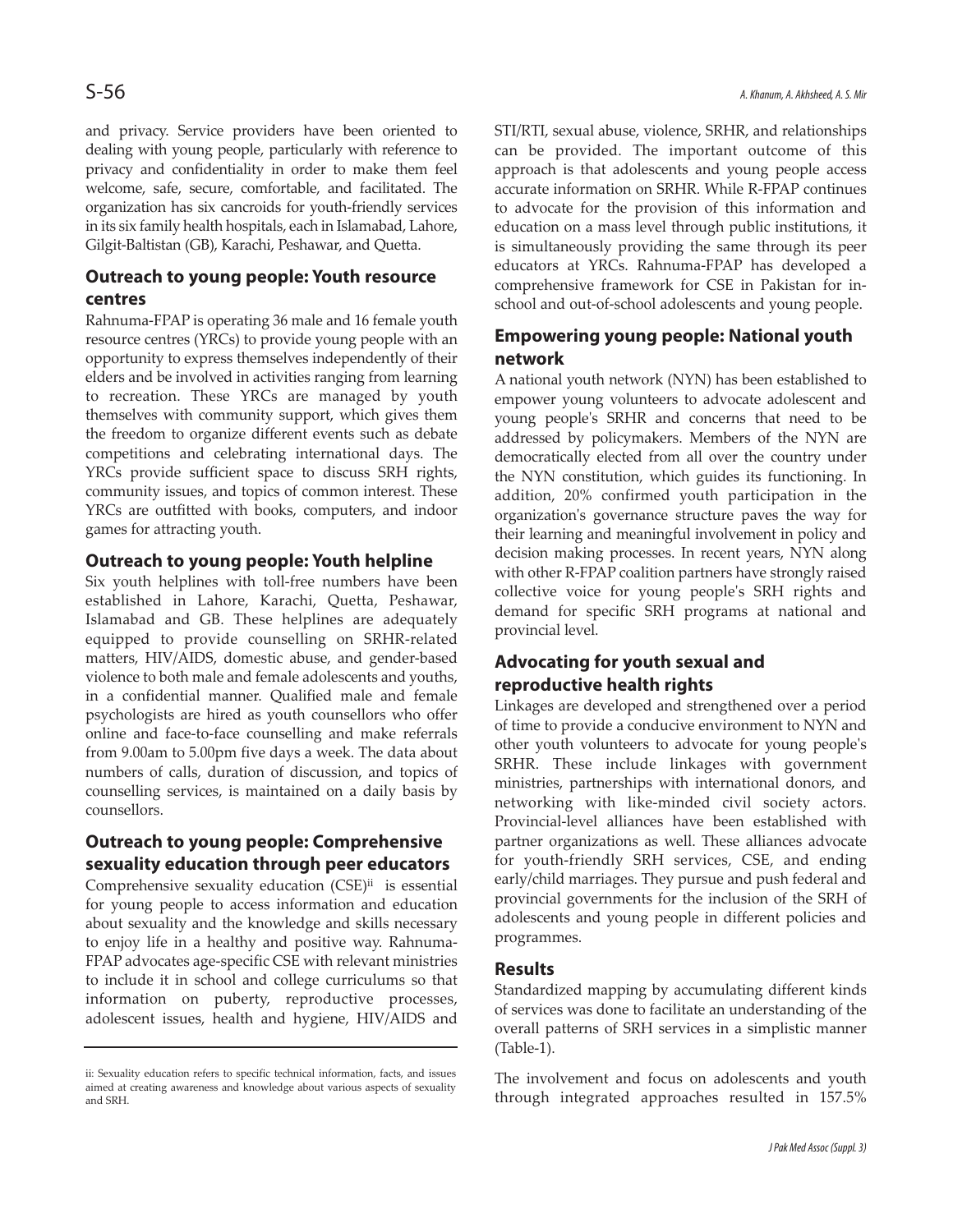and privacy. Service providers have been oriented to dealing with young people, particularly with reference to privacy and confidentiality in order to make them feel welcome, safe, secure, comfortable, and facilitated. The organization has six cancroids for youth-friendly services in its six family health hospitals, each in Islamabad, Lahore, Gilgit-Baltistan (GB), Karachi, Peshawar, and Quetta.

## **Outreach to young people: Youth resource centres**

Rahnuma-FPAP is operating 36 male and 16 female youth resource centres (YRCs) to provide young people with an opportunity to express themselves independently of their elders and be involved in activities ranging from learning to recreation. These YRCs are managed by youth themselves with community support, which gives them the freedom to organize different events such as debate competitions and celebrating international days. The YRCs provide sufficient space to discuss SRH rights, community issues, and topics of common interest. These YRCs are outfitted with books, computers, and indoor games for attracting youth.

## **Outreach to young people: Youth helpline**

Six youth helplines with toll-free numbers have been established in Lahore, Karachi, Quetta, Peshawar, Islamabad and GB. These helplines are adequately equipped to provide counselling on SRHR-related matters, HIV/AIDS, domestic abuse, and gender-based violence to both male and female adolescents and youths, in a confidential manner. Qualified male and female psychologists are hired as youth counsellors who offer online and face-to-face counselling and make referrals from 9.00am to 5.00pm five days a week. The data about numbers of calls, duration of discussion, and topics of counselling services, is maintained on a daily basis by counsellors.

## **Outreach to young people: Comprehensive sexuality education through peer educators**

Comprehensive sexuality education (CSE)<sup>ii</sup> is essential for young people to access information and education about sexuality and the knowledge and skills necessary to enjoy life in a healthy and positive way. Rahnuma-FPAP advocates age-specific CSE with relevant ministries to include it in school and college curriculums so that information on puberty, reproductive processes, adolescent issues, health and hygiene, HIV/AIDS and

STI/RTI, sexual abuse, violence, SRHR, and relationships can be provided. The important outcome of this approach is that adolescents and young people access accurate information on SRHR. While R-FPAP continues to advocate for the provision of this information and education on a mass level through public institutions, it is simultaneously providing the same through its peer educators at YRCs. Rahnuma-FPAP has developed a comprehensive framework for CSE in Pakistan for inschool and out-of-school adolescents and young people.

## **Empowering young people: National youth network**

A national youth network (NYN) has been established to empower young volunteers to advocate adolescent and young people's SRHR and concerns that need to be addressed by policymakers. Members of the NYN are democratically elected from all over the country under the NYN constitution, which guides its functioning. In addition, 20% confirmed youth participation in the organization's governance structure paves the way for their learning and meaningful involvement in policy and decision making processes. In recent years, NYN along with other R-FPAP coalition partners have strongly raised collective voice for young people's SRH rights and demand for specific SRH programs at national and provincial level.

## **Advocating for youth sexual and reproductive health rights**

Linkages are developed and strengthened over a period of time to provide a conducive environment to NYN and other youth volunteers to advocate for young people's SRHR. These include linkages with government ministries, partnerships with international donors, and networking with like-minded civil society actors. Provincial-level alliances have been established with partner organizations as well. These alliances advocate for youth-friendly SRH services, CSE, and ending early/child marriages. They pursue and push federal and provincial governments for the inclusion of the SRH of adolescents and young people in different policies and programmes.

## **Results**

Standardized mapping by accumulating different kinds of services was done to facilitate an understanding of the overall patterns of SRH services in a simplistic manner (Table-1).

The involvement and focus on adolescents and youth through integrated approaches resulted in 157.5%

ii: Sexuality education refers to specific technical information, facts, and issues aimed at creating awareness and knowledge about various aspects of sexuality and SRH.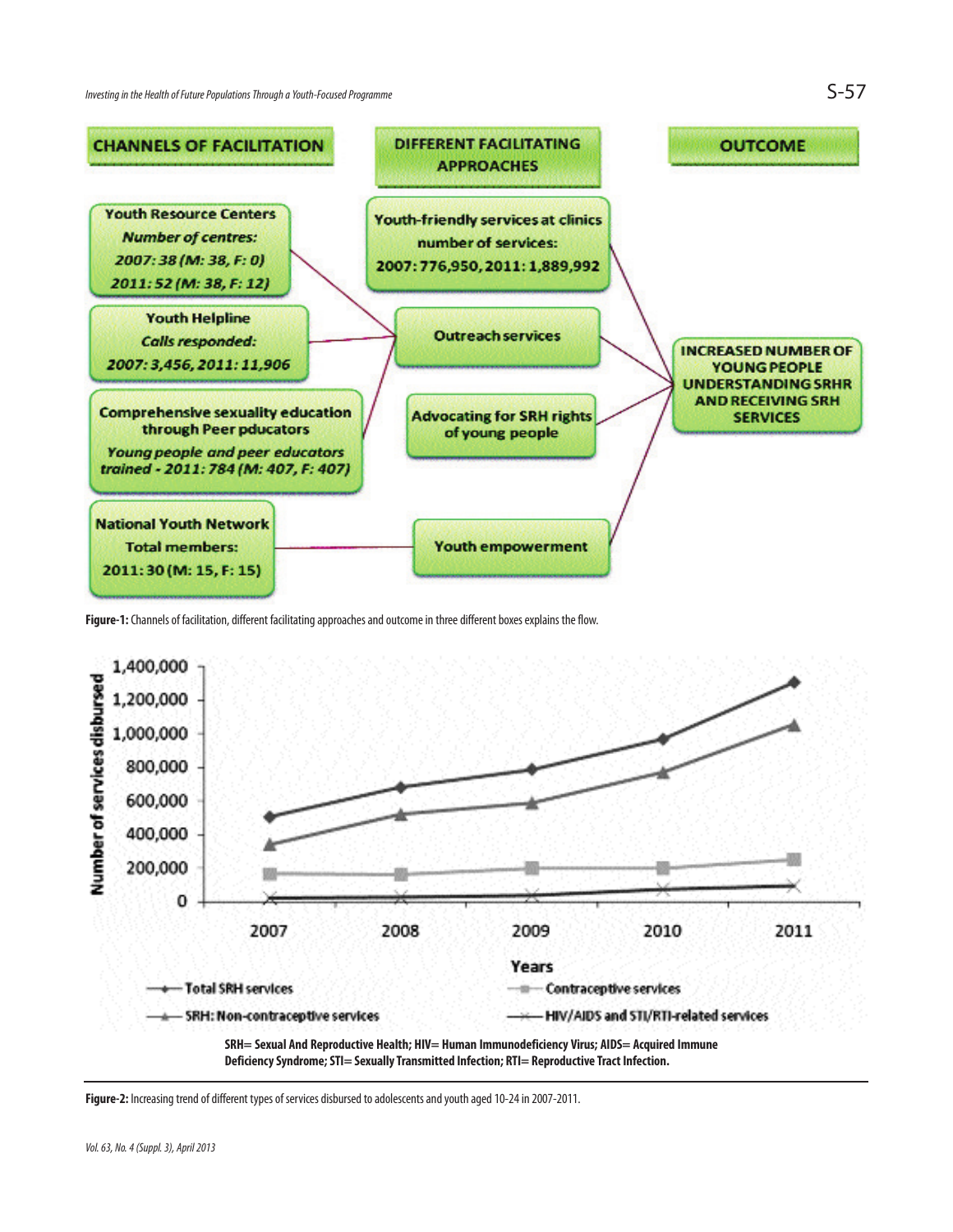

**Figure-1:** Channels of facilitation, different facilitating approaches and outcome in three different boxes explains the flow.



**Figure-2:** Increasing trend of different types of services disbursed to adolescents and youth aged 10-24 in 2007-2011.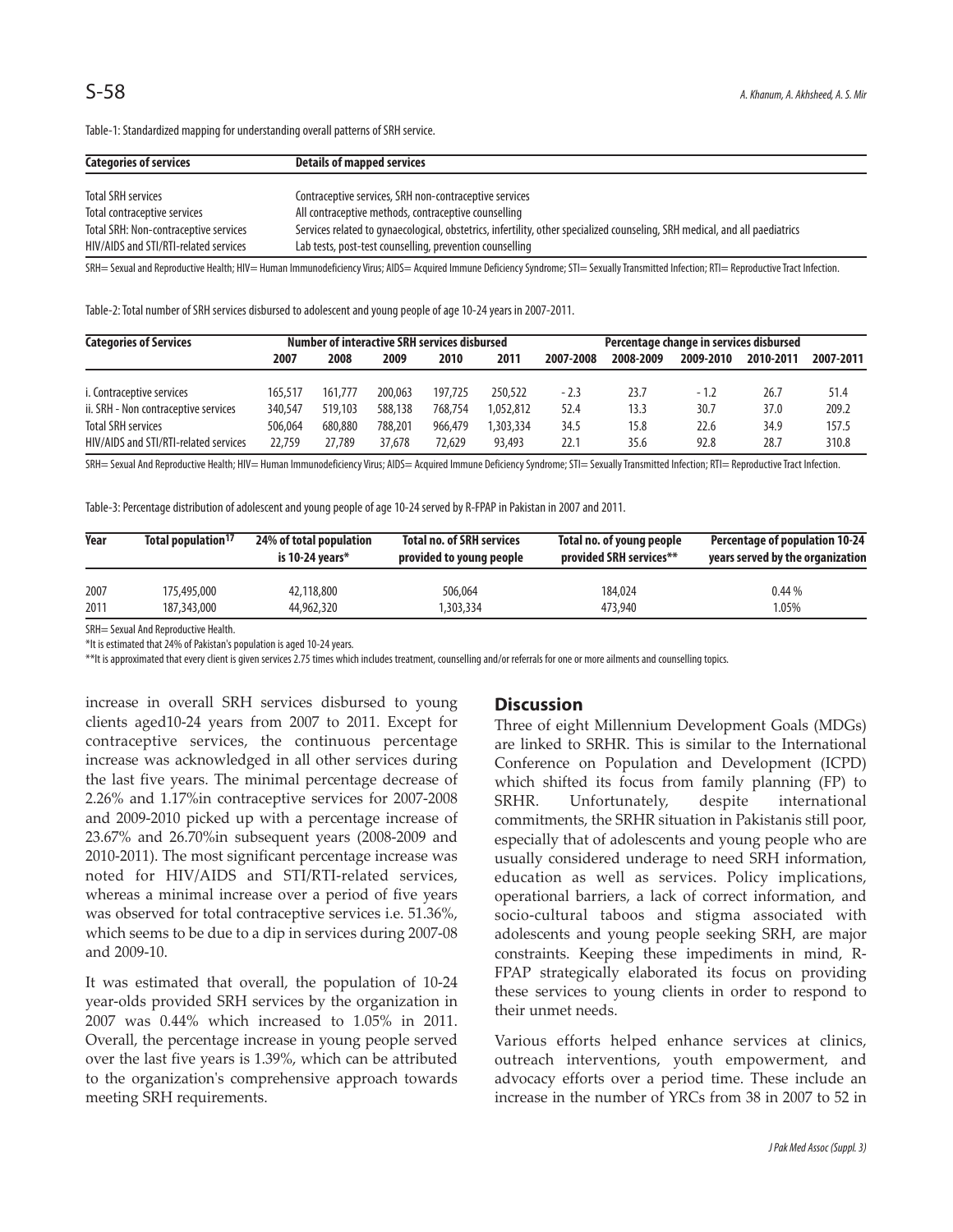| Categories of services                | Details of mapped services                                                                                                  |
|---------------------------------------|-----------------------------------------------------------------------------------------------------------------------------|
|                                       |                                                                                                                             |
| Total SRH services                    | Contraceptive services, SRH non-contraceptive services                                                                      |
| Total contraceptive services          | All contraceptive methods, contraceptive counselling                                                                        |
| Total SRH: Non-contraceptive services | Services related to gynaecological, obstetrics, infertility, other specialized counseling, SRH medical, and all paediatrics |
| HIV/AIDS and STI/RTI-related services | Lab tests, post-test counselling, prevention counselling                                                                    |
|                                       |                                                                                                                             |

Table-1: Standardized mapping for understanding overall patterns of SRH service.

SRH= Sexual and Reproductive Health; HIV= Human Immunodeficiency Virus; AIDS= Acquired Immune Deficiency Syndrome; STI= Sexually Transmitted Infection; RTI= Reproductive Tract Infection.

Table-2: Total number of SRH services disbursed to adolescent and young people of age 10-24 years in 2007-2011.

| <b>Categories of Services</b>         | Number of interactive SRH services disbursed |         |         |         | Percentage change in services disbursed |           |           |           |           |           |
|---------------------------------------|----------------------------------------------|---------|---------|---------|-----------------------------------------|-----------|-----------|-----------|-----------|-----------|
|                                       | 2007                                         | 2008    | 2009    | 2010    | 2011                                    | 2007-2008 | 2008-2009 | 2009-2010 | 2010-2011 | 2007-2011 |
|                                       |                                              |         |         |         |                                         |           |           |           |           |           |
| i. Contraceptive services             | 165,517                                      | 161.777 | 200.063 | 197.725 | 250.522                                 | $-2.3$    | 23.7      | $-1.2$    | 26.7      | 51.4      |
| ii. SRH - Non contraceptive services  | 340,547                                      | 519,103 | 588,138 | 768.754 | 1.052.812                               | 52.4      | 13.3      | 30.7      | 37.0      | 209.2     |
| <b>Total SRH services</b>             | 506.064                                      | 680.880 | 788,201 | 966.479 | .303,334                                | 34.5      | 15.8      | 22.6      | 34.9      | 157.5     |
| HIV/AIDS and STI/RTI-related services | 22,759                                       | 27.789  | 37,678  | 72,629  | 93,493                                  | 22.1      | 35.6      | 92.8      | 28.7      | 310.8     |

SRH= Sexual And Reproductive Health; HIV= Human Immunodeficiency Virus; AIDS= Acquired Immune Deficiency Syndrome; STI= Sexually Transmitted Infection; RTI= Reproductive Tract Infection.

Table-3: Percentage distribution of adolescent and young people of age 10-24 served by R-FPAP in Pakistan in 2007 and 2011.

| Year | Total population <sup>17</sup> | 24% of total population<br>is 10-24 vears $*$ | <b>Total no. of SRH services</b><br>provided to young people | Total no. of young people<br>provided SRH services** | <b>Percentage of population 10-24</b><br>years served by the organization |  |
|------|--------------------------------|-----------------------------------------------|--------------------------------------------------------------|------------------------------------------------------|---------------------------------------------------------------------------|--|
| 2007 | 175,495,000                    | 42,118,800                                    | 506.064                                                      | 184,024                                              | 0.44%                                                                     |  |
| 2011 | 187,343,000                    | 44,962,320                                    | 1,303,334                                                    | 473.940                                              | 1.05%                                                                     |  |

SRH= Sexual And Reproductive Health.

\*It is estimated that 24% of Pakistan's population is aged 10-24 years.

\*\*It is approximated that every client is given services 2.75 times which includes treatment, counselling and/or referrals for one or more ailments and counselling topics.

increase in overall SRH services disbursed to young clients aged10-24 years from 2007 to 2011. Except for contraceptive services, the continuous percentage increase was acknowledged in all other services during the last five years. The minimal percentage decrease of 2.26% and 1.17%in contraceptive services for 2007-2008 and 2009-2010 picked up with a percentage increase of 23.67% and 26.70%in subsequent years (2008-2009 and 2010-2011). The most significant percentage increase was noted for HIV/AIDS and STI/RTI-related services, whereas a minimal increase over a period of five years was observed for total contraceptive services i.e. 51.36%, which seems to be due to a dip in services during 2007-08 and 2009-10.

It was estimated that overall, the population of 10-24 year-olds provided SRH services by the organization in 2007 was 0.44% which increased to 1.05% in 2011. Overall, the percentage increase in young people served over the last five years is 1.39%, which can be attributed to the organization's comprehensive approach towards meeting SRH requirements.

#### **Discussion**

Three of eight Millennium Development Goals (MDGs) are linked to SRHR. This is similar to the International Conference on Population and Development (ICPD) which shifted its focus from family planning (FP) to SRHR. Unfortunately, despite international commitments, the SRHR situation in Pakistanis still poor, especially that of adolescents and young people who are usually considered underage to need SRH information, education as well as services. Policy implications, operational barriers, a lack of correct information, and socio-cultural taboos and stigma associated with adolescents and young people seeking SRH, are major constraints. Keeping these impediments in mind, R-FPAP strategically elaborated its focus on providing these services to young clients in order to respond to their unmet needs.

Various efforts helped enhance services at clinics, outreach interventions, youth empowerment, and advocacy efforts over a period time. These include an increase in the number of YRCs from 38 in 2007 to 52 in